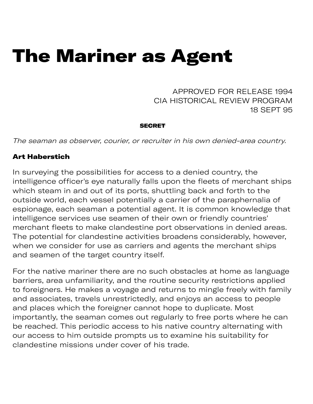# The Mariner as Agent

APPROVED FOR RELEASE 1994 CIA HISTORICAL REVIEW PROGRAM 18 SEPT 95

#### **SECRET**

The seaman as observer, courier, or recruiter in his own denied-area country.

### Art Haberstich

In surveying the possibilities for access to a denied country, the intelligence officer's eye naturally falls upon the fleets of merchant ships which steam in and out of its ports, shuttling back and forth to the outside world, each vessel potentially a carrier of the paraphernalia of espionage, each seaman a potential agent. It is common knowledge that intelligence services use seamen of their own or friendly countries' merchant fleets to make clandestine port observations in denied areas. The potential for clandestine activities broadens considerably, however, when we consider for use as carriers and agents the merchant ships and seamen of the target country itself.

For the native mariner there are no such obstacles at home as language barriers, area unfamiliarity, and the routine security restrictions applied to foreigners. He makes a voyage and returns to mingle freely with family and associates, travels unrestrictedly, and enjoys an access to people and places which the foreigner cannot hope to duplicate. Most importantly, the seaman comes out regularly to free ports where he can be reached. This periodic access to his native country alternating with our access to him outside prompts us to examine his suitability for clandestine missions under cover of his trade.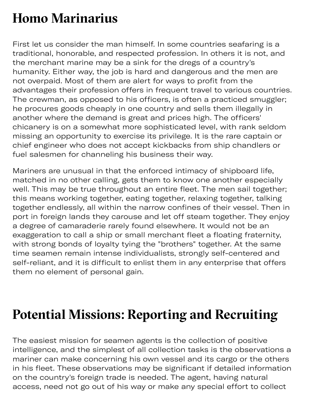# **Homo Marinarius**

First let us consider the man himself. In some countries seafaring is a traditional, honorable, and respected profession. In others it is not, and the merchant marine may be a sink for the dregs of a country's humanity. Either way, the job is hard and dangerous and the men are not overpaid. Most of them are alert for ways to profit from the advantages their profession offers in frequent travel to various countries. The crewman, as opposed to his officers, is often a practiced smuggler; he procures goods cheaply in one country and sells them illegally in another where the demand is great and prices high. The officers' chicanery is on a somewhat more sophisticated level, with rank seldom missing an opportunity to exercise its privilege. It is the rare captain or chief engineer who does not accept kickbacks from ship chandlers or fuel salesmen for channeling his business their way.

Mariners are unusual in that the enforced intimacy of shipboard life, matched in no other calling, gets them to know one another especially well. This may be true throughout an entire fleet. The men sail together; this means working together, eating together, relaxing together, talking together endlessly, all within the narrow confines of their vessel. Then in port in foreign lands they carouse and let off steam together. They enjoy a degree of camaraderie rarely found elsewhere. It would not be an exageration to call a ship or small merchant fleet a floating fraternity, with strong bonds of loyalty tying the "brothers" together. At the same time seamen remain intense individualists, strongly self-centered and self-reliant, and it is difficult to enlist them in any enterprise that offers them no element of personal gain.

# **Potential Missions: Reporting and Recruiting**

The easiest mission for seamen agents is the collection of positive intelligence, and the simplest of all collection tasks is the observations a mariner can make concerning his own vessel and its cargo or the others in his fleet. These observations may be significant if detailed information on the country's foreign trade is needed. The agent, having natural access, need not go out of his way or make any special effort to collect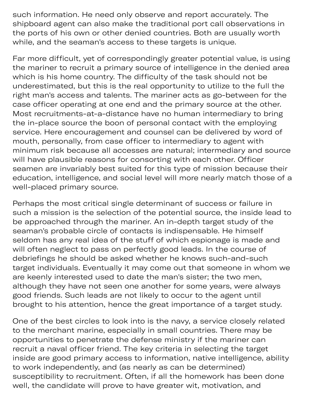access, need not go out of his way of his way of his way of his way of his way of  $\alpha$ such information. He need only observe and report accurately. The shipboard agent can also make the traditional port call observations in the ports of his own or other denied countries. Both are usually worth while, and the seaman's access to these targets is unique.

Far more difficult, yet of correspondingly greater potential value, is using the mariner to recruit a primary source of intelligence in the denied area which is his home country. The difficulty of the task should not be underestimated, but this is the real opportunity to utilize to the full the right man's access and talents. The mariner acts as go-between for the case officer operating at one end and the primary source at the other. Most recruitments-at-a-distance have no human intermediary to bring the in-place source the boon of personal contact with the employing service. Here encouragement and counsel can be delivered by word of mouth, personally, from case officer to intermediary to agent with minimum risk because all accesses are natural; intermediary and source will have plausible reasons for consorting with each other. Officer seamen are invariably best suited for this type of mission because their education, intelligence, and social level will more nearly match those of a well-placed primary source.

Perhaps the most critical single determinant of success or failure in such a mission is the selection of the potential source, the inside lead to be approached through the mariner. An in-depth target study of the seaman's probable circle of contacts is indispensable. He himself seldom has any real idea of the stuff of which espionage is made and will often neglect to pass on perfectly good leads. In the course of debriefings he should be asked whether he knows such-and-such target individuals. Eventually it may come out that someone in whom we are keenly interested used to date the man's sister; the two men, although they have not seen one another for some years, were always good friends. Such leads are not likely to occur to the agent until brought to his attention, hence the great importance of a target study.

One of the best circles to look into is the navy, a service closely related to the merchant marine, especially in small countries. There may be opportunities to penetrate the defense ministry if the mariner can recruit a naval officer friend. The key criteria in selecting the target inside are good primary access to information, native intelligence, ability to work independently, and (as nearly as can be determined) susceptibility to recruitment. Often, if all the homework has been done well, the candidate will prove to have greater wit, motivation, and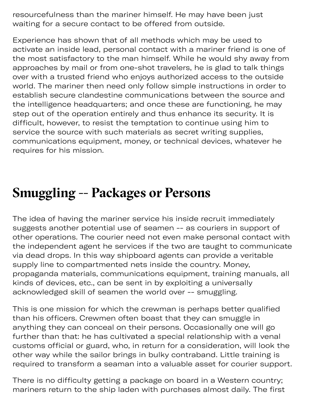resourcefulness than the mariner himself. He may have been just waiting for a secure contact to be offered from outside.

well, the candidate will prove to have greater wit, motivation, and

Experience has shown that of all methods which may be used to activate an inside lead, personal contact with a mariner friend is one of the most satisfactory to the man himself. While he would shy away from approaches by mail or from one-shot travelers, he is glad to talk things over with a trusted friend who enjoys authorized access to the outside world. The mariner then need only follow simple instructions in order to establish secure clandestine communications between the source and the intelligence headquarters; and once these are functioning, he may step out of the operation entirely and thus enhance its security. It is difficult, however, to resist the temptation to continue using him to service the source with such materials as secret writing supplies, communications equipment, money, or technical devices, whatever he requires for his mission.

### **Smugling -- Packages or Persons**

The idea of having the mariner service his inside recruit immediately suggests another potential use of seamen -- as couriers in support of other operations. The courier need not even make personal contact with the independent agent he services if the two are taught to communicate via dead drops. In this way shipboard agents can provide a veritable supply line to compartmented nets inside the country. Money, propaganda materials, communications equipment, training manuals, all kinds of devices, etc., can be sent in by exploiting a universally acknowledged skill of seamen the world over -- smuggling.

This is one mission for which the crewman is perhaps better qualified than his officers. Crewmen often boast that they can smuggle in anything they can conceal on their persons. Occasionally one will go further than that: he has cultivated a special relationship with a venal customs official or guard, who, in return for a consideration, will look the other way while the sailor brings in bulky contraband. Little training is required to transform a seaman into a valuable asset for courier support.

There is no difficulty getting a package on board in a Western country; mariners return to the ship laden with purchases almost daily. The first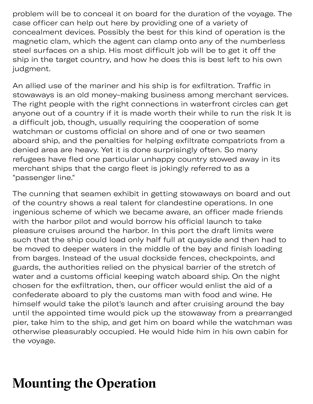problem will be to conceal it on board for the duration of the voyage. The case officer can help out here by providing one of a variety of concealment devices. Possibly the best for this kind of operation is the magnetic clam, which the agent can clamp onto any of the numberless steel surfaces on a ship. His most difficult job will be to get it off the ship in the target country, and how he does this is best left to his own judgment.

An allied use of the mariner and his ship is for exfiltration. Traffic in stowaways is an old money-making business among merchant services. The right people with the right connections in waterfront circles can get anyone out of a country if it is made worth their while to run the risk It is a difficult job, though, usually requiring the cooperation of some watchman or customs official on shore and of one or two seamen aboard ship, and the penalties for helping exfiltrate compatriots from a denied area are heavy. Yet it is done surprisingly often. So many refugees have fled one particular unhappy country stowed away in its merchant ships that the cargo fleet is jokingly referred to as a "passenger line."

The cunning that seamen exhibit in getting stowaways on board and out of the country shows a real talent for clandestine operations. In one ingenious scheme of which we became aware, an officer made friends with the harbor pilot and would borrow his official launch to take pleasure cruises around the harbor. In this port the draft limits were such that the ship could load only half full at quayside and then had to be moved to deeper waters in the middle of the bay and finish loading from barges. Instead of the usual dockside fences, checkpoints, and guards, the authorities relied on the physical barrier of the stretch of water and a customs official keeping watch aboard ship. On the night chosen for the exfiltration, then, our officer would enlist the aid of a confederate aboard to ply the customs man with food and wine. He himself would take the pilot's launch and after cruising around the bay until the appointed time would pick up the stowaway from a prearranged pier, take him to the ship, and get him on board while the watchman was otherwise pleasurably occupied. He would hide him in his own cabin for the voyage.

# **Mounting the Operation**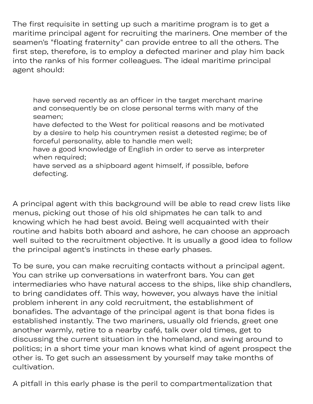The first requisite in setting up such a maritime program is to get a maritime principal agent for recruiting the mariners. One member of the seamen's "floating fraternity" can provide entree to all the others. The first step, therefore, is to employ a defected mariner and play him back into the ranks of his former colleagues. The ideal maritime principal agent should:

have served recently as an officer in the target merchant marine and consequently be on close personal terms with many of the seamen;

have defected to the West for political reasons and be motivated by a desire to help his countrymen resist a detested regime; be of forceful personality, able to handle men well;

have a good knowledge of English in order to serve as interpreter when required;

have served as a shipboard agent himself, if possible, before defecting.

A principal agent with this background will be able to read crew lists like menus, picking out those of his old shipmates he can talk to and knowing which he had best avoid. Being well acquainted with their routine and habits both aboard and ashore, he can choose an approach well suited to the recruitment objective. It is usually a good idea to follow the principal agent's instincts in these early phases.

To be sure, you can make recruiting contacts without a principal agent. You can strike up conversations in waterfront bars. You can get intermediaries who have natural access to the ships, like ship chandlers, to bring candidates off. This way, however, you always have the initial problem inherent in any cold recruitment, the establishment of bonafides. The advantage of the principal agent is that bona fides is established instantly. The two mariners, usually old friends, greet one another warmly, retire to a nearby café, talk over old times, get to discussing the current situation in the homeland, and swing around to politics; in a short time your man knows what kind of agent prospect the other is. To get such an assessment by yourself may take months of cultivation.

A pitfall in this early phase is the peril to compartmentalization that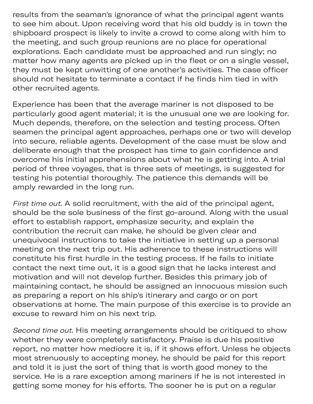results from the seaman's ignorance of what the principal agent wants to see him about. Upon receiving word that his old buddy is in town the shipboard prospect is likely to invite a crowd to come along with him to the meeting, and such group reunions are no place for operational explorations. Each candidate must be approached and run singly; no matter how many agents are picked up in the fleet or on a single vessel, they must be kept unwitting of one another's activities. The case officer should not hesitate to terminate a contact if he finds him tied in with other recruited agents.

A pitfall in this early phase is the peril to comparison that periodic periodic periodic periodic periodic periodic periodic periodic periodic periodic periodic periodic periodic periodic periodic periodic periodic period

Experience has been that the average mariner is not disposed to be particularly good agent material; it is the unusual one we are looking for. Much depends, therefore, on the selection and testing process. Often seamen the principal agent approaches, perhaps one or two will develop into secure, reliable agents. Development of the case must be slow and deliberate enough that the prospect has time to gain confidence and overcome his initial apprehensions about what he is getting into. A trial period of three voyages, that is three sets of meetings, is suggested for testing his potential thoroughly. The patience this demands will be amply rewarded in the long run.

First time out. A solid recruitment, with the aid of the principal agent, should be the sole business of the first go-around. Along with the usual effort to establish rapport, emphasize security, and explain the contribution the recruit can make, he should be given clear and unequivocal instructions to take the initiative in setting up a personal meeting on the next trip out. His adherence to these instructions will constitute his first hurdle in the testing process. If he fails to initiate contact the next time out, it is a good sign that he lacks interest and motivation and will not develop further. Besides this primary job of maintaining contact, he should be assigned an innocuous mission such as preparing a report on his ship's itinerary and cargo or on port observations at home. The main purpose of this exercise is to provide an excuse to reward him on his next trip.

Second time out. His meeting arrangements should be critiqued to show whether they were completely satisfactory. Praise is due his positive report, no matter how mediocre it is, if it shows effort. Unless he objects most strenuously to accepting money, he should be paid for this report and told it is just the sort of thing that is worth good money to the service. He is a rare exception among mariners if he is not interested in getting some money for his efforts. The sooner he is put on a regular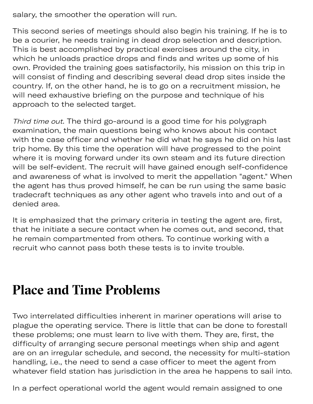salary, the smoother the operation will run.

This second series of meetings should also begin his training. If he is to be a courier, he needs training in dead drop selection and description. This is best accomplished by practical exercises around the city, in which he unloads practice drops and finds and writes up some of his own. Provided the training goes satisfactorily, his mission on this trip in will consist of finding and describing several dead drop sites inside the country. If, on the other hand, he is to go on a recruitment mission, he will need exhaustive briefing on the purpose and technique of his approach to the selected target.

getting some money for his efforts. The some money for his efforts. The sound  $\alpha$ 

Third time out. The third go-around is a good time for his polygraph examination, the main questions being who knows about his contact with the case officer and whether he did what he says he did on his last trip home. By this time the operation will have progressed to the point where it is moving forward under its own steam and its future direction will be self-evident. The recruit will have gained enough self-confidence and awareness of what is involved to merit the appellation "agent." When the agent has thus proved himself, he can be run using the same basic tradecraft techniques as any other agent who travels into and out of a denied area.

It is emphasized that the primary criteria in testing the agent are, first, that he initiate a secure contact when he comes out, and second, that he remain compartmented from others. To continue working with a recruit who cannot pass both these tests is to invite trouble.

### **Place and Time Problems**

Two interrelated difficulties inherent in mariner operations will arise to plague the operating service. There is little that can be done to forestall these problems; one must learn to live with them. They are, first, the difficulty of arranging secure personal meetings when ship and agent are on an irregular schedule, and second, the necessity for multi-station handling, i.e., the need to send a case officer to meet the agent from whatever field station has jurisdiction in the area he happens to sail into.

In a perfect operational world the agent would remain assigned to one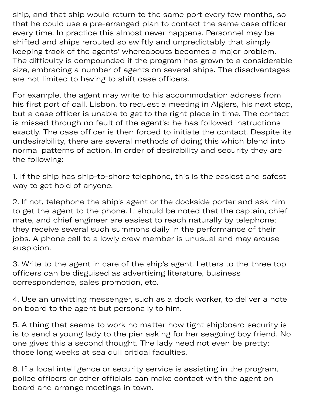In a perfect operational world the agent world the agent world the agent would remain assigned to one one one one one one of  $\alpha$ ship, and that ship would return to the same port every few months, so that he could use a pre-arranged plan to contact the same case officer every time. In practice this almost never happens. Personnel may be shifted and ships rerouted so swiftly and unpredictably that simply keeping track of the agents' whereabouts becomes a major problem. The difficulty is compounded if the program has grown to a considerable size, embracing a number of agents on several ships. The disadvantages are not limited to having to shift case officers.

For example, the agent may write to his accommodation address from his first port of call, Lisbon, to request a meeting in Algiers, his next stop, but a case officer is unable to get to the right place in time. The contact is missed through no fault of the agent's; he has followed instructions exactly. The case officer is then forced to initiate the contact. Despite its undesirability, there are several methods of doing this which blend into normal patterns of action. In order of desirability and security they are the following:

1. If the ship has ship-to-shore telephone, this is the easiest and safest way to get hold of anyone.

2. If not, telephone the ship's agent or the dockside porter and ask him to get the agent to the phone. It should be noted that the captain, chief mate, and chief engineer are easiest to reach naturally by telephone; they receive several such summons daily in the performance of their jobs. A phone call to a lowly crew member is unusual and may arouse suspicion.

3. Write to the agent in care of the ship's agent. Letters to the three top officers can be disguised as advertising literature, business correspondence, sales promotion, etc.

4. Use an unwitting messenger, such as a dock worker, to deliver a note on board to the agent but personally to him.

5. A thing that seems to work no matter how tight shipboard security is is to send a young lady to the pier asking for her seagoing boy friend. No one gives this a second thought. The lady need not even be pretty; those long weeks at sea dull critical faculties.

6. If a local intelligence or security service is assisting in the program, police officers or other officials can make contact with the agent on board and arrange meetings in town.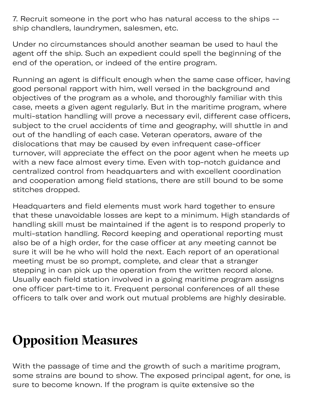7. Recruit someone in the port who has natural access to the ships - ship chandlers, laundrymen, salesmen, etc.

Under no circumstances should another seaman be used to haul the agent off the ship. Such an expedient could spell the beginning of the end of the operation, or indeed of the entire program.

Running an agent is difficult enough when the same case officer, having good personal rapport with him, well versed in the background and objectives of the program as a whole, and thoroughly familiar with this case, meets a given agent regularly. But in the maritime program, where multi-station handling will prove a necessary evil, different case officers, subject to the cruel accidents of time and geography, will shuttle in and out of the handling of each case. Veteran operators, aware of the dislocations that may be caused by even infrequent case-officer turnover, will appreciate the effect on the poor agent when he meets up with a new face almost every time. Even with top-notch guidance and centralized control from headquarters and with excellent coordination and cooperation among field stations, there are still bound to be some stitches dropped.

Headquarters and field elements must work hard together to ensure that these unavoidable losses are kept to a minimum. High standards of handling skill must be maintained if the agent is to respond properly to multi-station handling. Record keeping and operational reporting must also be of a high order, for the case officer at any meeting cannot be sure it will be he who will hold the next. Each report of an operational meeting must be so prompt, complete, and clear that a stranger stepping in can pick up the operation from the written record alone. Usually each field station involved in a going maritime program assigns one officer part-time to it. Frequent personal conferences of all these officers to talk over and work out mutual problems are highly desirable.

# **Opposition Measures**

With the passage of time and the growth of such a maritime program, some strains are bound to show. The exposed principal agent, for one, is sure to become known. If the program is quite extensive so the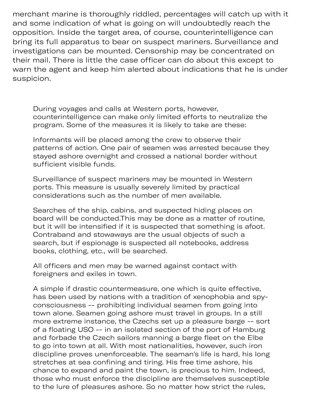merchant marine is thoroughly riddled, percentages will catch up with it and some indication of what is going on will undoubtedly reach the opposition. Inside the target area, of course, counterintelligence can bring its full apparatus to bear on suspect mariners. Surveillance and investigations can be mounted. Censorship may be concentrated on their mail. There is little the case officer can do about this except to warn the agent and keep him alerted about indications that he is under suspicion.

During voyages and calls at Western ports, however, counterintelligence can make only limited efforts to neutralize the program. Some of the measures it is likely to take are these:

Informants will be placed among the crew to observe their patterns of action. One pair of seamen was arrested because they stayed ashore overnight and crossed a national border without sufficient visible funds.

Surveillance of suspect mariners may be mounted in Western ports. This measure is usually severely limited by practical considerations such as the number of men available.

Searches of the ship, cabins, and suspected hiding places on board will be conducted.This may be done as a matter of routine, but it will be intensified if it is suspected that something is afoot. Contraband and stowaways are the usual objects of such a search, but if espionage is suspected all notebooks, address books, clothing, etc., will be searched.

All officers and men may be warned against contact with foreigners and exiles in town.

A simple if drastic countermeasure, one which is quite effective, has been used by nations with a tradition of xenophobia and spyconsciousness -- prohibiting individual seamen from going into town alone. Seamen going ashore must travel in groups. In a still more extreme instance, the Czechs set up a pleasure barge -- sort of a floating USO -- in an isolated section of the port of Hamburg and forbade the Czech sailors manning a barge fleet on the Elbe to go into town at all. With most nationalities, however, such iron discipline proves unenforceable. The seaman's life is hard, his long stretches at sea confining and tiring. His free time ashore, his chance to expand and paint the town, is precious to him. Indeed, those who must enforce the discipline are themselves susceptible to the lure of pleasures ashore. So no matter how strict the rules,